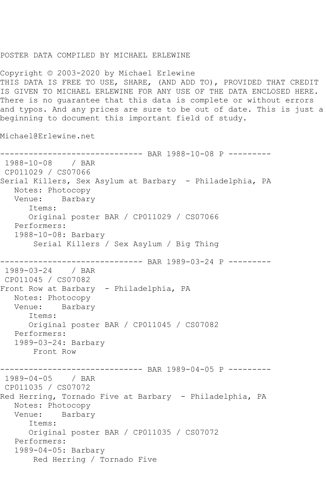## POSTER DATA COMPILED BY MICHAEL ERLEWINE

Copyright © 2003-2020 by Michael Erlewine THIS DATA IS FREE TO USE, SHARE, (AND ADD TO), PROVIDED THAT CREDIT IS GIVEN TO MICHAEL ERLEWINE FOR ANY USE OF THE DATA ENCLOSED HERE. There is no guarantee that this data is complete or without errors and typos. And any prices are sure to be out of date. This is just a beginning to document this important field of study.

Michael@Erlewine.net

------------------------------ BAR 1988-10-08 P --------- 1988-10-08 / BAR CP011029 / CS07066 Serial Killers, Sex Asylum at Barbary - Philadelphia, PA Notes: Photocopy Venue: Barbary Items: Original poster BAR / CP011029 / CS07066 Performers: 1988-10-08: Barbary Serial Killers / Sex Asylum / Big Thing ------------------------------ BAR 1989-03-24 P --------- 1989-03-24 / BAR CP011045 / CS07082 Front Row at Barbary - Philadelphia, PA Notes: Photocopy Venue: Barbary Items: Original poster BAR / CP011045 / CS07082 Performers: 1989-03-24: Barbary Front Row ------------------------------ BAR 1989-04-05 P --------- 1989-04-05 / BAR CP011035 / CS07072 Red Herring, Tornado Five at Barbary - Philadelphia, PA Notes: Photocopy Venue: Barbary Items: Original poster BAR / CP011035 / CS07072 Performers: 1989-04-05: Barbary Red Herring / Tornado Five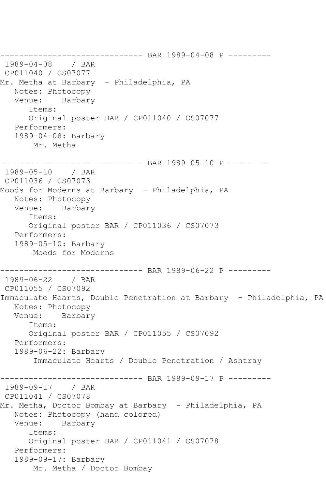------------------------------ BAR 1989-04-08 P --------- 1989-04-08 / BAR CP011040 / CS07077 Mr. Metha at Barbary - Philadelphia, PA Notes: Photocopy Venue: Barbary Items: Original poster BAR / CP011040 / CS07077 Performers: 1989-04-08: Barbary Mr. Metha ------------------------------ BAR 1989-05-10 P --------- 1989-05-10 / BAR CP011036 / CS07073 Moods for Moderns at Barbary - Philadelphia, PA Notes: Photocopy Venue: Barbary Items: Original poster BAR / CP011036 / CS07073 Performers: 1989-05-10: Barbary Moods for Moderns ------------------------------ BAR 1989-06-22 P --------- 1989-06-22 / BAR CP011055 / CS07092 Immaculate Hearts, Double Penetration at Barbary - Philadelphia, PA Notes: Photocopy Venue: Barbary Items: Original poster BAR / CP011055 / CS07092 Performers: 1989-06-22: Barbary Immaculate Hearts / Double Penetration / Ashtray ------------------------------ BAR 1989-09-17 P --------- 1989-09-17 / BAR CP011041 / CS07078 Mr. Metha, Doctor Bombay at Barbary - Philadelphia, PA Notes: Photocopy (hand colored) Venue: Barbary Items: Original poster BAR / CP011041 / CS07078 Performers: 1989-09-17: Barbary Mr. Metha / Doctor Bombay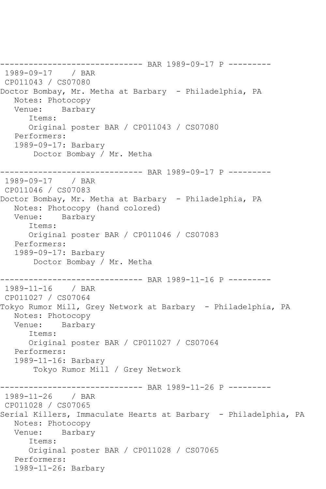------------------------------ BAR 1989-09-17 P --------- 1989-09-17 / BAR CP011043 / CS07080 Doctor Bombay, Mr. Metha at Barbary - Philadelphia, PA Notes: Photocopy Venue: Barbary Items: Original poster BAR / CP011043 / CS07080 Performers: 1989-09-17: Barbary Doctor Bombay / Mr. Metha ------------------------------ BAR 1989-09-17 P --------- 1989-09-17 / BAR CP011046 / CS07083 Doctor Bombay, Mr. Metha at Barbary - Philadelphia, PA Notes: Photocopy (hand colored) Venue: Barbary Items: Original poster BAR / CP011046 / CS07083 Performers: 1989-09-17: Barbary Doctor Bombay / Mr. Metha ------------------------------ BAR 1989-11-16 P --------- 1989-11-16 / BAR CP011027 / CS07064 Tokyo Rumor Mill, Grey Network at Barbary - Philadelphia, PA Notes: Photocopy Venue: Barbary Items: Original poster BAR / CP011027 / CS07064 Performers: 1989-11-16: Barbary Tokyo Rumor Mill / Grey Network ------------------------------ BAR 1989-11-26 P --------- 1989-11-26 / BAR CP011028 / CS07065 Serial Killers, Immaculate Hearts at Barbary - Philadelphia, PA Notes: Photocopy Venue: Barbary Items: Original poster BAR / CP011028 / CS07065 Performers: 1989-11-26: Barbary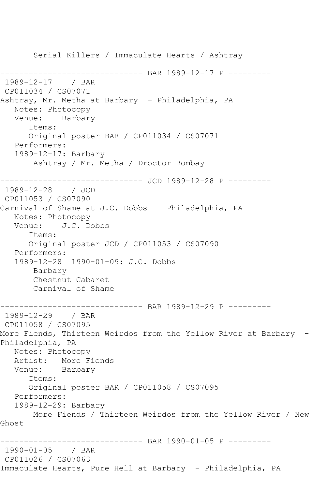Serial Killers / Immaculate Hearts / Ashtray -------------- BAR 1989-12-17 P ---------1989-12-17 / BAR CP011034 / CS07071 Ashtray, Mr. Metha at Barbary - Philadelphia, PA Notes: Photocopy Venue: Barbary Items: Original poster BAR / CP011034 / CS07071 Performers: 1989-12-17: Barbary Ashtray / Mr. Metha / Droctor Bombay ------------------------------ JCD 1989-12-28 P --------- 1989-12-28 / JCD CP011053 / CS07090 Carnival of Shame at J.C. Dobbs - Philadelphia, PA Notes: Photocopy Venue: J.C. Dobbs Items: Original poster JCD / CP011053 / CS07090 Performers: 1989-12-28 1990-01-09: J.C. Dobbs Barbary Chestnut Cabaret Carnival of Shame ------------------------------ BAR 1989-12-29 P --------- 1989-12-29 / BAR CP011058 / CS07095 More Fiends, Thirteen Weirdos from the Yellow River at Barbary - Philadelphia, PA Notes: Photocopy Artist: More Fiends Venue: Barbary Items: Original poster BAR / CP011058 / CS07095 Performers: 1989-12-29: Barbary More Fiends / Thirteen Weirdos from the Yellow River / New Ghost ------------------------------ BAR 1990-01-05 P --------- 1990-01-05 / BAR CP011026 / CS07063 Immaculate Hearts, Pure Hell at Barbary - Philadelphia, PA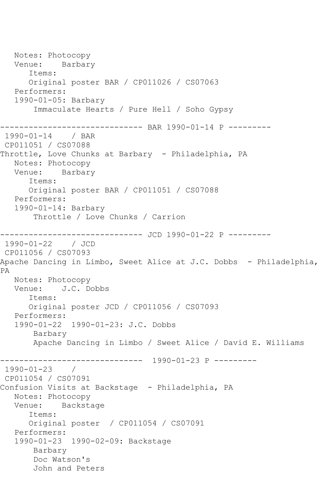Notes: Photocopy Venue: Barbary Items: Original poster BAR / CP011026 / CS07063 Performers: 1990-01-05: Barbary Immaculate Hearts / Pure Hell / Soho Gypsy ------------------------------ BAR 1990-01-14 P --------- 1990-01-14 / BAR CP011051 / CS07088 Throttle, Love Chunks at Barbary - Philadelphia, PA Notes: Photocopy Venue: Barbary Items: Original poster BAR / CP011051 / CS07088 Performers: 1990-01-14: Barbary Throttle / Love Chunks / Carrion ----------------------------- JCD 1990-01-22 P ---------1990-01-22 / JCD CP011056 / CS07093 Apache Dancing in Limbo, Sweet Alice at J.C. Dobbs - Philadelphia, PA Notes: Photocopy Venue: J.C. Dobbs Items: Original poster JCD / CP011056 / CS07093 Performers: 1990-01-22 1990-01-23: J.C. Dobbs Barbary Apache Dancing in Limbo / Sweet Alice / David E. Williams ------------------------------ 1990-01-23 P --------- 1990-01-23 / CP011054 / CS07091 Confusion Visits at Backstage - Philadelphia, PA Notes: Photocopy Venue: Backstage Items: Original poster / CP011054 / CS07091 Performers: 1990-01-23 1990-02-09: Backstage Barbary Doc Watson's John and Peters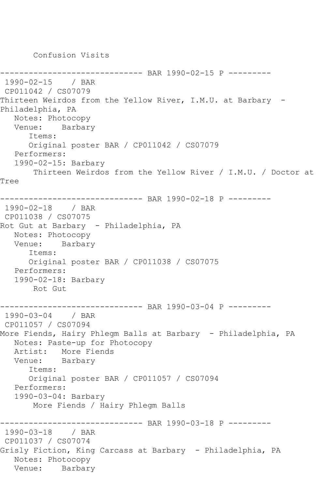Confusion Visits

```
---------- BAR 1990-02-15 P ---------
1990-02-15 / BAR 
CP011042 / CS07079
Thirteen Weirdos from the Yellow River, I.M.U. at Barbary -
Philadelphia, PA
   Notes: Photocopy
   Venue: Barbary
      Items:
      Original poster BAR / CP011042 / CS07079
   Performers:
   1990-02-15: Barbary
       Thirteen Weirdos from the Yellow River / I.M.U. / Doctor at 
Tree
------------------------------ BAR 1990-02-18 P ---------
1990-02-18 / BAR 
CP011038 / CS07075
Rot Gut at Barbary - Philadelphia, PA
   Notes: Photocopy
   Venue: Barbary
      Items:
      Original poster BAR / CP011038 / CS07075
   Performers:
   1990-02-18: Barbary
       Rot Gut
------------------------------ BAR 1990-03-04 P ---------
1990-03-04 / BAR 
CP011057 / CS07094
More Fiends, Hairy Phlegm Balls at Barbary - Philadelphia, PA
   Notes: Paste-up for Photocopy
   Artist: More Fiends
   Venue: Barbary
      Items:
      Original poster BAR / CP011057 / CS07094
   Performers:
   1990-03-04: Barbary
       More Fiends / Hairy Phlegm Balls
------------------------------ BAR 1990-03-18 P ---------
1990-03-18 / BAR 
CP011037 / CS07074
Grisly Fiction, King Carcass at Barbary - Philadelphia, PA
   Notes: Photocopy
   Venue: Barbary
```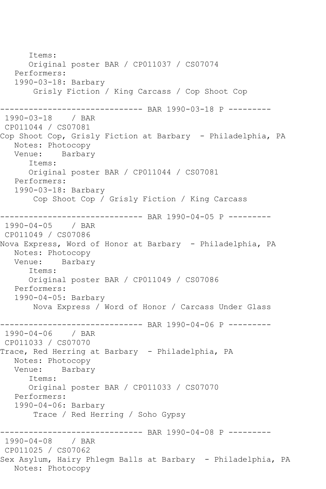Items: Original poster BAR / CP011037 / CS07074 Performers: 1990-03-18: Barbary Grisly Fiction / King Carcass / Cop Shoot Cop ------------------------------ BAR 1990-03-18 P --------- 1990-03-18 / BAR CP011044 / CS07081 Cop Shoot Cop, Grisly Fiction at Barbary - Philadelphia, PA Notes: Photocopy<br>Venue: Barbary Venue: Items: Original poster BAR / CP011044 / CS07081 Performers: 1990-03-18: Barbary Cop Shoot Cop / Grisly Fiction / King Carcass ------------------------------ BAR 1990-04-05 P --------- 1990-04-05 / BAR CP011049 / CS07086 Nova Express, Word of Honor at Barbary - Philadelphia, PA Notes: Photocopy Venue: Barbary Items: Original poster BAR / CP011049 / CS07086 Performers: 1990-04-05: Barbary Nova Express / Word of Honor / Carcass Under Glass ------------------------------ BAR 1990-04-06 P --------- 1990-04-06 / BAR CP011033 / CS07070 Trace, Red Herring at Barbary - Philadelphia, PA Notes: Photocopy Venue: Barbary Items: Original poster BAR / CP011033 / CS07070 Performers: 1990-04-06: Barbary Trace / Red Herring / Soho Gypsy ------------------------------ BAR 1990-04-08 P --------- 1990-04-08 CP011025 / CS07062 Sex Asylum, Hairy Phlegm Balls at Barbary - Philadelphia, PA Notes: Photocopy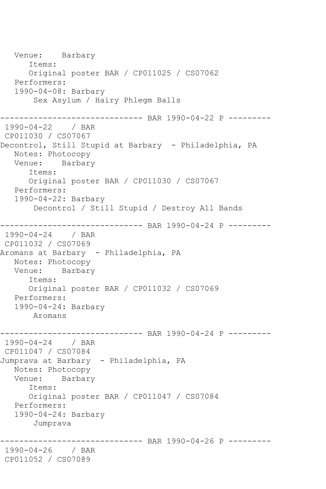```
 Venue: Barbary
       Items:
       Original poster BAR / CP011025 / CS07062
   Performers:
   1990-04-08: Barbary
        Sex Asylum / Hairy Phlegm Balls
------------------------------ BAR 1990-04-22 P ---------
1990-04-22 / BAR 
CP011030 / CS07067
Decontrol, Still Stupid at Barbary - Philadelphia, PA
   Notes: Photocopy
   Venue: Barbary
       Items:
      Original poster BAR / CP011030 / CS07067
   Performers:
   1990-04-22: Barbary
       Decontrol / Still Stupid / Destroy All Bands
------------------------------ BAR 1990-04-24 P ---------
1990-04-24 / BAR 
CP011032 / CS07069
Aromans at Barbary - Philadelphia, PA
   Notes: Photocopy
   Venue: Barbary
      Items:
       Original poster BAR / CP011032 / CS07069
   Performers:
   1990-04-24: Barbary
       Aromans
------------------------------ BAR 1990-04-24 P ---------
1990-04-24 / BAR 
CP011047 / CS07084
Jumprava at Barbary - Philadelphia, PA
   Notes: Photocopy
   Venue: Barbary
       Items:
      Original poster BAR / CP011047 / CS07084
   Performers:
   1990-04-24: Barbary
       Jumprava
 ------------------------------ BAR 1990-04-26 P ---------
1990-04-26 / BAR 
CP011052 / CS07089
```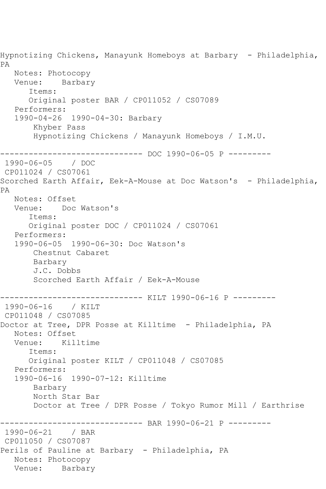Hypnotizing Chickens, Manayunk Homeboys at Barbary - Philadelphia, PA Notes: Photocopy Venue: Barbary Items: Original poster BAR / CP011052 / CS07089 Performers: 1990-04-26 1990-04-30: Barbary Khyber Pass Hypnotizing Chickens / Manayunk Homeboys / I.M.U. ------------------------------ DOC 1990-06-05 P --------- 1990-06-05 / DOC CP011024 / CS07061 Scorched Earth Affair, Eek-A-Mouse at Doc Watson's - Philadelphia, PA Notes: Offset Venue: Doc Watson's Items: Original poster DOC / CP011024 / CS07061 Performers: 1990-06-05 1990-06-30: Doc Watson's Chestnut Cabaret Barbary J.C. Dobbs Scorched Earth Affair / Eek-A-Mouse ------------------------------ KILT 1990-06-16 P --------- 1990-06-16 / KILT CP011048 / CS07085 Doctor at Tree, DPR Posse at Killtime - Philadelphia, PA Notes: Offset Venue: Killtime Items: Original poster KILT / CP011048 / CS07085 Performers: 1990-06-16 1990-07-12: Killtime Barbary North Star Bar Doctor at Tree / DPR Posse / Tokyo Rumor Mill / Earthrise ------------------------------ BAR 1990-06-21 P --------- 1990-06-21 / BAR CP011050 / CS07087 Perils of Pauline at Barbary - Philadelphia, PA Notes: Photocopy Venue: Barbary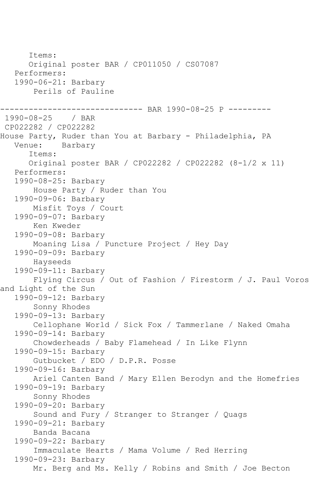Items: Original poster BAR / CP011050 / CS07087 Performers: 1990-06-21: Barbary Perils of Pauline ------------------------------ BAR 1990-08-25 P ---------  $1990 - 08 - 25$ CP022282 / CP022282 House Party, Ruder than You at Barbary - Philadelphia, PA<br>Venue: Barbary Barbary Items: Original poster BAR / CP022282 / CP022282 (8-1/2 x 11) Performers: 1990-08-25: Barbary House Party / Ruder than You 1990-09-06: Barbary Misfit Toys / Court 1990-09-07: Barbary Ken Kweder 1990-09-08: Barbary Moaning Lisa / Puncture Project / Hey Day 1990-09-09: Barbary Hayseeds 1990-09-11: Barbary Flying Circus / Out of Fashion / Firestorm / J. Paul Voros and Light of the Sun 1990-09-12: Barbary Sonny Rhodes 1990-09-13: Barbary Cellophane World / Sick Fox / Tammerlane / Naked Omaha 1990-09-14: Barbary Chowderheads / Baby Flamehead / In Like Flynn 1990-09-15: Barbary Gutbucket / EDO / D.P.R. Posse 1990-09-16: Barbary Ariel Canten Band / Mary Ellen Berodyn and the Homefries 1990-09-19: Barbary Sonny Rhodes 1990-09-20: Barbary Sound and Fury / Stranger to Stranger / Quags 1990-09-21: Barbary Banda Bacana 1990-09-22: Barbary Immaculate Hearts / Mama Volume / Red Herring 1990-09-23: Barbary Mr. Berg and Ms. Kelly / Robins and Smith / Joe Becton